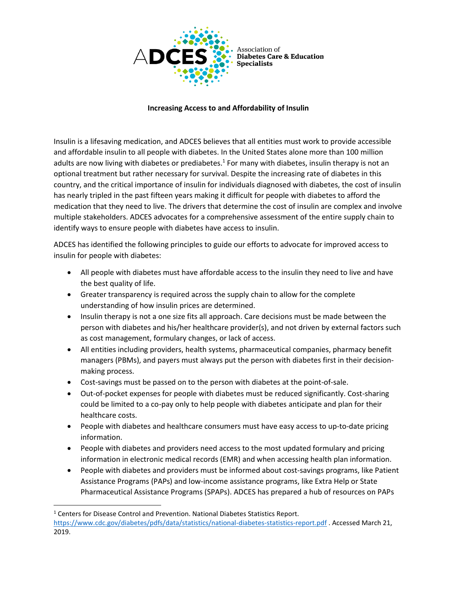

Association of • Diabetes Care & Education **Specialists** 

## **Increasing Access to and Affordability of Insulin**

Insulin is a lifesaving medication, and ADCES believes that all entities must work to provide accessible and affordable insulin to all people with diabetes. In the United States alone more than 100 million adults are now living with diabetes or prediabetes.<sup>1</sup> For many with diabetes, insulin therapy is not an optional treatment but rather necessary for survival. Despite the increasing rate of diabetes in this country, and the critical importance of insulin for individuals diagnosed with diabetes, the cost of insulin has nearly tripled in the past fifteen years making it difficult for people with diabetes to afford the medication that they need to live. The drivers that determine the cost of insulin are complex and involve multiple stakeholders. ADCES advocates for a comprehensive assessment of the entire supply chain to identify ways to ensure people with diabetes have access to insulin.

ADCES has identified the following principles to guide our efforts to advocate for improved access to insulin for people with diabetes:

- All people with diabetes must have affordable access to the insulin they need to live and have the best quality of life.
- Greater transparency is required across the supply chain to allow for the complete understanding of how insulin prices are determined.
- Insulin therapy is not a one size fits all approach. Care decisions must be made between the person with diabetes and his/her healthcare provider(s), and not driven by external factors such as cost management, formulary changes, or lack of access.
- All entities including providers, health systems, pharmaceutical companies, pharmacy benefit managers (PBMs), and payers must always put the person with diabetes first in their decisionmaking process.
- Cost-savings must be passed on to the person with diabetes at the point-of-sale.
- Out-of-pocket expenses for people with diabetes must be reduced significantly. Cost-sharing could be limited to a co-pay only to help people with diabetes anticipate and plan for their healthcare costs.
- People with diabetes and healthcare consumers must have easy access to up-to-date pricing information.
- People with diabetes and providers need access to the most updated formulary and pricing information in electronic medical records (EMR) and when accessing health plan information.
- People with diabetes and providers must be informed about cost-savings programs, like Patient Assistance Programs (PAPs) and low-income assistance programs, like Extra Help or State Pharmaceutical Assistance Programs (SPAPs). ADCES has prepared a hub of resources on PAPs

<sup>&</sup>lt;sup>1</sup> Centers for Disease Control and Prevention. National Diabetes Statistics Report. <https://www.cdc.gov/diabetes/pdfs/data/statistics/national-diabetes-statistics-report.pdf> . Accessed March 21, 2019.